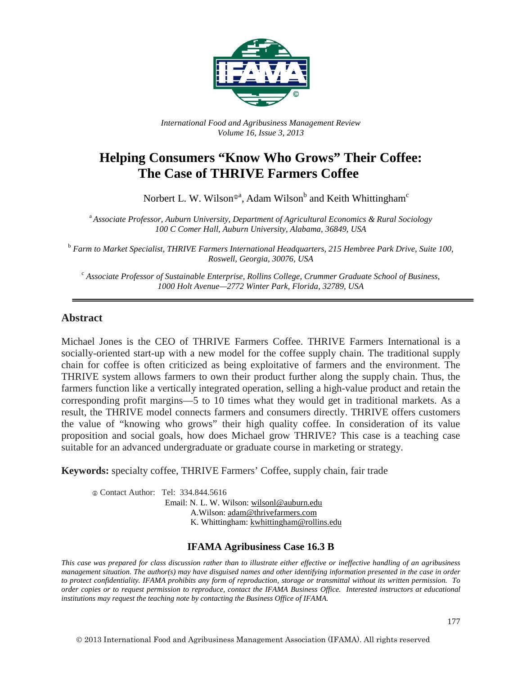

*International Food and Agribusiness Management Review Volume 16, Issue 3, 2013*

# **Helping Consumers "Know Who Grows" Their Coffee: The Case of THRIVE Farmers Coffee**

Norbert L. W. Wilson®<sup>a</sup>, Adam Wilson<sup>b</sup> and Keith Whittingham<sup>c</sup>

<sup>a</sup>*Associate Professor, Auburn University, Department of Agricultural Economics & Rural Sociology 100 C Comer Hall, Auburn University, Alabama, 36849, USA*

<sup>b</sup> *Farm to Market Specialist, THRIVE Farmers International Headquarters, 215 Hembree Park Drive, Suite 100, Roswell, Georgia, 30076, USA*

<sup>c</sup> *Associate Professor of Sustainable Enterprise, Rollins College, Crummer Graduate School of Business, 1000 Holt Avenue—2772 Winter Park, Florida, 32789, USA*

### **Abstract**

Michael Jones is the CEO of THRIVE Farmers Coffee. THRIVE Farmers International is a socially-oriented start-up with a new model for the coffee supply chain. The traditional supply chain for coffee is often criticized as being exploitative of farmers and the environment. The THRIVE system allows farmers to own their product further along the supply chain. Thus, the farmers function like a vertically integrated operation, selling a high-value product and retain the corresponding profit margins—5 to 10 times what they would get in traditional markets. As a result, the THRIVE model connects farmers and consumers directly. THRIVE offers customers the value of "knowing who grows" their high quality coffee. In consideration of its value proposition and social goals, how does Michael grow THRIVE? This case is a teaching case suitable for an advanced undergraduate or graduate course in marketing or strategy.

**Keywords:** specialty coffee, THRIVE Farmers' Coffee, supply chain, fair trade

 Contact Author: Tel: 334.844.5616 Email: N. L. W. Wilson[: wilsonl@auburn.edu](mailto:wilsonl@auburn.edu) A.Wilson: [adam@thrivefarmers.com](mailto:adam@thrivefarmers.com) K. Whittingham: [kwhittingham@rollins.edu](mailto:kwhittingham@rollins.edu)

### **IFAMA Agribusiness Case 16.3 B**

*This case was prepared for class discussion rather than to illustrate either effective or ineffective handling of an agribusiness management situation. The author(s) may have disguised names and other identifying information presented in the case in order to protect confidentiality. IFAMA prohibits any form of reproduction, storage or transmittal without its written permission. To order copies or to request permission to reproduce, contact the IFAMA Business Office. Interested instructors at educational institutions may request the teaching note by contacting the Business Office of IFAMA.*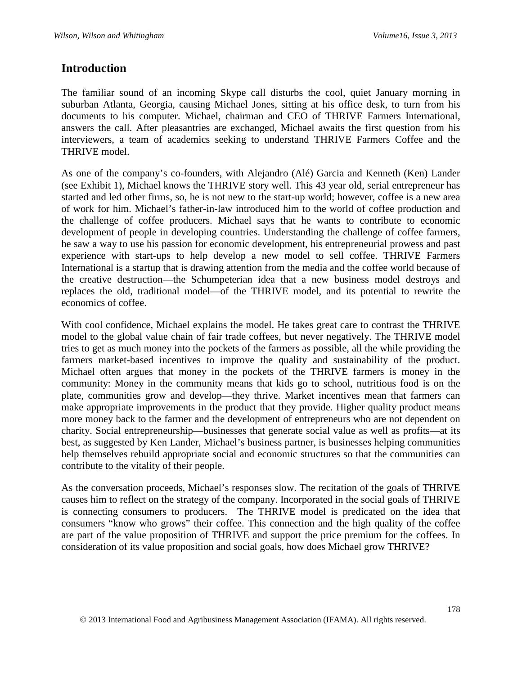## **Introduction**

The familiar sound of an incoming Skype call disturbs the cool, quiet January morning in suburban Atlanta, Georgia, causing Michael Jones, sitting at his office desk, to turn from his documents to his computer. Michael, chairman and CEO of THRIVE Farmers International, answers the call. After pleasantries are exchanged, Michael awaits the first question from his interviewers, a team of academics seeking to understand THRIVE Farmers Coffee and the THRIVE model.

As one of the company's co-founders, with Alejandro (Alé) Garcia and Kenneth (Ken) Lander (see Exhibit 1), Michael knows the THRIVE story well. This 43 year old, serial entrepreneur has started and led other firms, so, he is not new to the start-up world; however, coffee is a new area of work for him. Michael's father-in-law introduced him to the world of coffee production and the challenge of coffee producers. Michael says that he wants to contribute to economic development of people in developing countries. Understanding the challenge of coffee farmers, he saw a way to use his passion for economic development, his entrepreneurial prowess and past experience with start-ups to help develop a new model to sell coffee. THRIVE Farmers International is a startup that is drawing attention from the media and the coffee world because of the creative destruction—the Schumpeterian idea that a new business model destroys and replaces the old, traditional model—of the THRIVE model, and its potential to rewrite the economics of coffee.

With cool confidence, Michael explains the model. He takes great care to contrast the THRIVE model to the global value chain of fair trade coffees, but never negatively. The THRIVE model tries to get as much money into the pockets of the farmers as possible, all the while providing the farmers market-based incentives to improve the quality and sustainability of the product. Michael often argues that money in the pockets of the THRIVE farmers is money in the community: Money in the community means that kids go to school, nutritious food is on the plate, communities grow and develop—they thrive. Market incentives mean that farmers can make appropriate improvements in the product that they provide. Higher quality product means more money back to the farmer and the development of entrepreneurs who are not dependent on charity. Social entrepreneurship—businesses that generate social value as well as profits—at its best, as suggested by Ken Lander, Michael's business partner, is businesses helping communities help themselves rebuild appropriate social and economic structures so that the communities can contribute to the vitality of their people.

As the conversation proceeds, Michael's responses slow. The recitation of the goals of THRIVE causes him to reflect on the strategy of the company. Incorporated in the social goals of THRIVE is connecting consumers to producers. The THRIVE model is predicated on the idea that consumers "know who grows" their coffee. This connection and the high quality of the coffee are part of the value proposition of THRIVE and support the price premium for the coffees. In consideration of its value proposition and social goals, how does Michael grow THRIVE?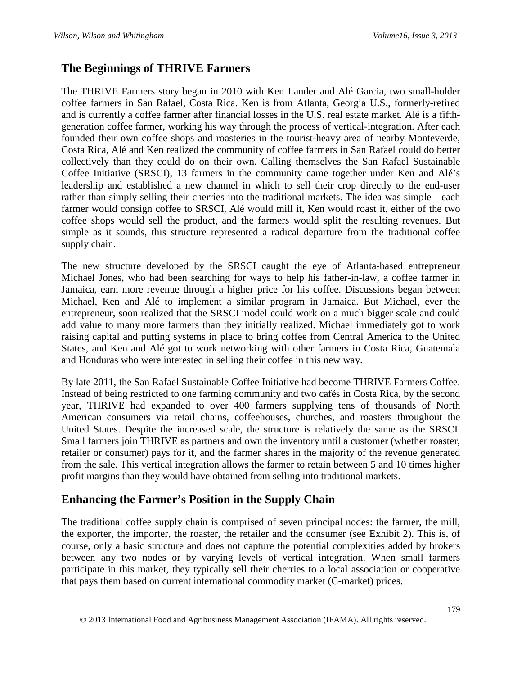## **The Beginnings of THRIVE Farmers**

The THRIVE Farmers story began in 2010 with Ken Lander and Alé Garcia, two small-holder coffee farmers in San Rafael, Costa Rica. Ken is from Atlanta, Georgia U.S., formerly-retired and is currently a coffee farmer after financial losses in the U.S. real estate market. Alé is a fifthgeneration coffee farmer, working his way through the process of vertical-integration. After each founded their own coffee shops and roasteries in the tourist-heavy area of nearby Monteverde, Costa Rica, Alé and Ken realized the community of coffee farmers in San Rafael could do better collectively than they could do on their own. Calling themselves the San Rafael Sustainable Coffee Initiative (SRSCI), 13 farmers in the community came together under Ken and Alé's leadership and established a new channel in which to sell their crop directly to the end-user rather than simply selling their cherries into the traditional markets. The idea was simple—each farmer would consign coffee to SRSCI, Alé would mill it, Ken would roast it, either of the two coffee shops would sell the product, and the farmers would split the resulting revenues. But simple as it sounds, this structure represented a radical departure from the traditional coffee supply chain.

The new structure developed by the SRSCI caught the eye of Atlanta-based entrepreneur Michael Jones, who had been searching for ways to help his father-in-law, a coffee farmer in Jamaica, earn more revenue through a higher price for his coffee. Discussions began between Michael, Ken and Alé to implement a similar program in Jamaica. But Michael, ever the entrepreneur, soon realized that the SRSCI model could work on a much bigger scale and could add value to many more farmers than they initially realized. Michael immediately got to work raising capital and putting systems in place to bring coffee from Central America to the United States, and Ken and Alé got to work networking with other farmers in Costa Rica, Guatemala and Honduras who were interested in selling their coffee in this new way.

By late 2011, the San Rafael Sustainable Coffee Initiative had become THRIVE Farmers Coffee. Instead of being restricted to one farming community and two cafés in Costa Rica, by the second year, THRIVE had expanded to over 400 farmers supplying tens of thousands of North American consumers via retail chains, coffeehouses, churches, and roasters throughout the United States. Despite the increased scale, the structure is relatively the same as the SRSCI. Small farmers join THRIVE as partners and own the inventory until a customer (whether roaster, retailer or consumer) pays for it, and the farmer shares in the majority of the revenue generated from the sale. This vertical integration allows the farmer to retain between 5 and 10 times higher profit margins than they would have obtained from selling into traditional markets.

## **Enhancing the Farmer's Position in the Supply Chain**

The traditional coffee supply chain is comprised of seven principal nodes: the farmer, the mill, the exporter, the importer, the roaster, the retailer and the consumer (see Exhibit 2). This is, of course, only a basic structure and does not capture the potential complexities added by brokers between any two nodes or by varying levels of vertical integration. When small farmers participate in this market, they typically sell their cherries to a local association or cooperative that pays them based on current international commodity market (C-market) prices.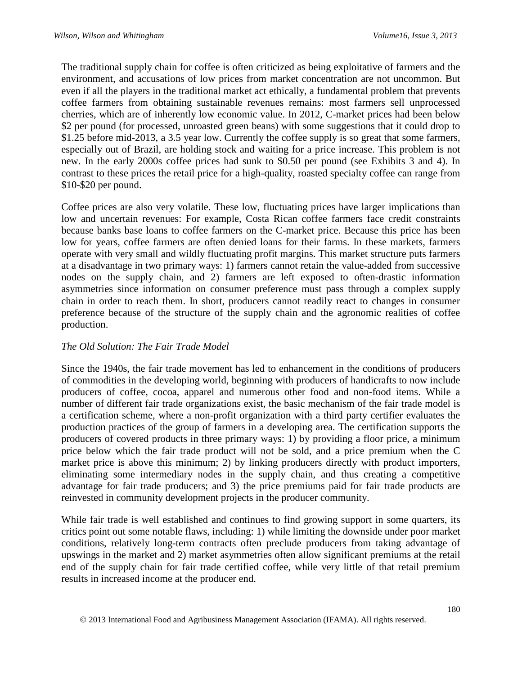The traditional supply chain for coffee is often criticized as being exploitative of farmers and the environment, and accusations of low prices from market concentration are not uncommon. But even if all the players in the traditional market act ethically, a fundamental problem that prevents coffee farmers from obtaining sustainable revenues remains: most farmers sell unprocessed cherries, which are of inherently low economic value. In 2012, C-market prices had been below \$2 per pound (for processed, unroasted green beans) with some suggestions that it could drop to \$1.25 before mid-2013, a 3.5 year low. Currently the coffee supply is so great that some farmers, especially out of Brazil, are holding stock and waiting for a price increase. This problem is not new. In the early 2000s coffee prices had sunk to \$0.50 per pound (see Exhibits 3 and 4). In contrast to these prices the retail price for a high-quality, roasted specialty coffee can range from \$10-\$20 per pound.

Coffee prices are also very volatile. These low, fluctuating prices have larger implications than low and uncertain revenues: For example, Costa Rican coffee farmers face credit constraints because banks base loans to coffee farmers on the C-market price. Because this price has been low for years, coffee farmers are often denied loans for their farms. In these markets, farmers operate with very small and wildly fluctuating profit margins. This market structure puts farmers at a disadvantage in two primary ways: 1) farmers cannot retain the value-added from successive nodes on the supply chain, and 2) farmers are left exposed to often-drastic information asymmetries since information on consumer preference must pass through a complex supply chain in order to reach them. In short, producers cannot readily react to changes in consumer preference because of the structure of the supply chain and the agronomic realities of coffee production.

### *The Old Solution: The Fair Trade Model*

Since the 1940s, the fair trade movement has led to enhancement in the conditions of producers of commodities in the developing world, beginning with producers of handicrafts to now include producers of coffee, cocoa, apparel and numerous other food and non-food items. While a number of different fair trade organizations exist, the basic mechanism of the fair trade model is a certification scheme, where a non-profit organization with a third party certifier evaluates the production practices of the group of farmers in a developing area. The certification supports the producers of covered products in three primary ways: 1) by providing a floor price, a minimum price below which the fair trade product will not be sold, and a price premium when the C market price is above this minimum; 2) by linking producers directly with product importers, eliminating some intermediary nodes in the supply chain, and thus creating a competitive advantage for fair trade producers; and 3) the price premiums paid for fair trade products are reinvested in community development projects in the producer community.

While fair trade is well established and continues to find growing support in some quarters, its critics point out some notable flaws, including: 1) while limiting the downside under poor market conditions, relatively long-term contracts often preclude producers from taking advantage of upswings in the market and 2) market asymmetries often allow significant premiums at the retail end of the supply chain for fair trade certified coffee, while very little of that retail premium results in increased income at the producer end.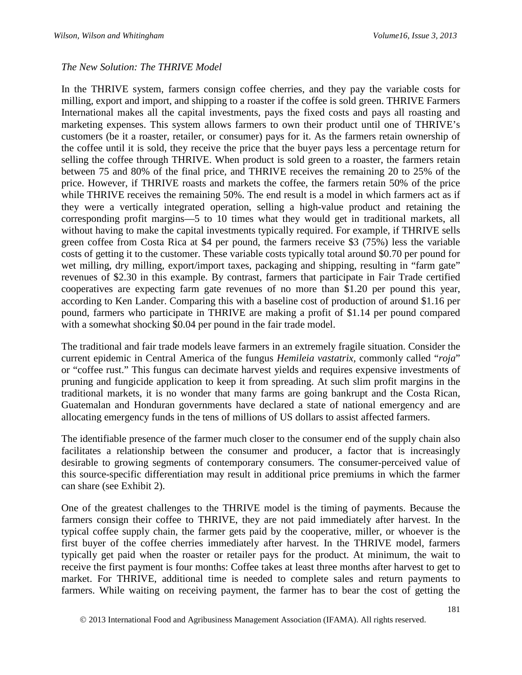### *The New Solution: The THRIVE Model*

In the THRIVE system, farmers consign coffee cherries, and they pay the variable costs for milling, export and import, and shipping to a roaster if the coffee is sold green. THRIVE Farmers International makes all the capital investments, pays the fixed costs and pays all roasting and marketing expenses. This system allows farmers to own their product until one of THRIVE's customers (be it a roaster, retailer, or consumer) pays for it. As the farmers retain ownership of the coffee until it is sold, they receive the price that the buyer pays less a percentage return for selling the coffee through THRIVE. When product is sold green to a roaster, the farmers retain between 75 and 80% of the final price, and THRIVE receives the remaining 20 to 25% of the price. However, if THRIVE roasts and markets the coffee, the farmers retain 50% of the price while THRIVE receives the remaining 50%. The end result is a model in which farmers act as if they were a vertically integrated operation, selling a high-value product and retaining the corresponding profit margins—5 to 10 times what they would get in traditional markets, all without having to make the capital investments typically required. For example, if THRIVE sells green coffee from Costa Rica at \$4 per pound, the farmers receive \$3 (75%) less the variable costs of getting it to the customer. These variable costs typically total around \$0.70 per pound for wet milling, dry milling, export/import taxes, packaging and shipping, resulting in "farm gate" revenues of \$2.30 in this example. By contrast, farmers that participate in Fair Trade certified cooperatives are expecting farm gate revenues of no more than \$1.20 per pound this year, according to Ken Lander. Comparing this with a baseline cost of production of around \$1.16 per pound, farmers who participate in THRIVE are making a profit of \$1.14 per pound compared with a somewhat shocking \$0.04 per pound in the fair trade model.

The traditional and fair trade models leave farmers in an extremely fragile situation. Consider the current epidemic in Central America of the fungus *Hemileia vastatrix,* commonly called "*roja*" or "coffee rust." This fungus can decimate harvest yields and requires expensive investments of pruning and fungicide application to keep it from spreading. At such slim profit margins in the traditional markets, it is no wonder that many farms are going bankrupt and the Costa Rican, Guatemalan and Honduran governments have declared a state of national emergency and are allocating emergency funds in the tens of millions of US dollars to assist affected farmers.

The identifiable presence of the farmer much closer to the consumer end of the supply chain also facilitates a relationship between the consumer and producer, a factor that is increasingly desirable to growing segments of contemporary consumers. The consumer-perceived value of this source-specific differentiation may result in additional price premiums in which the farmer can share (see Exhibit 2).

One of the greatest challenges to the THRIVE model is the timing of payments. Because the farmers consign their coffee to THRIVE, they are not paid immediately after harvest. In the typical coffee supply chain, the farmer gets paid by the cooperative, miller, or whoever is the first buyer of the coffee cherries immediately after harvest. In the THRIVE model, farmers typically get paid when the roaster or retailer pays for the product. At minimum, the wait to receive the first payment is four months: Coffee takes at least three months after harvest to get to market. For THRIVE, additional time is needed to complete sales and return payments to farmers. While waiting on receiving payment, the farmer has to bear the cost of getting the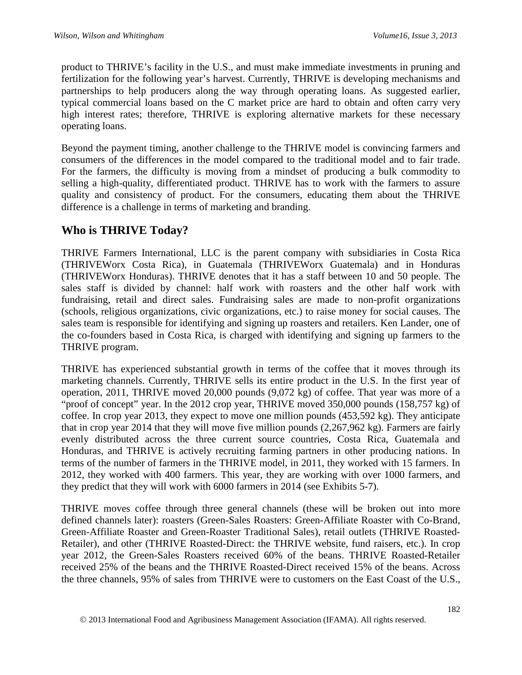product to THRIVE's facility in the U.S., and must make immediate investments in pruning and fertilization for the following year's harvest. Currently, THRIVE is developing mechanisms and partnerships to help producers along the way through operating loans. As suggested earlier, typical commercial loans based on the C market price are hard to obtain and often carry very high interest rates; therefore, THRIVE is exploring alternative markets for these necessary operating loans.

Beyond the payment timing, another challenge to the THRIVE model is convincing farmers and consumers of the differences in the model compared to the traditional model and to fair trade. For the farmers, the difficulty is moving from a mindset of producing a bulk commodity to selling a high-quality, differentiated product. THRIVE has to work with the farmers to assure quality and consistency of product. For the consumers, educating them about the THRIVE difference is a challenge in terms of marketing and branding.

## **Who is THRIVE Today?**

THRIVE Farmers International, LLC is the parent company with subsidiaries in Costa Rica (THRIVEWorx Costa Rica), in Guatemala (THRIVEWorx Guatemala) and in Honduras (THRIVEWorx Honduras). THRIVE denotes that it has a staff between 10 and 50 people. The sales staff is divided by channel: half work with roasters and the other half work with fundraising, retail and direct sales. Fundraising sales are made to non-profit organizations (schools, religious organizations, civic organizations, etc.) to raise money for social causes. The sales team is responsible for identifying and signing up roasters and retailers. Ken Lander, one of the co-founders based in Costa Rica, is charged with identifying and signing up farmers to the THRIVE program.

THRIVE has experienced substantial growth in terms of the coffee that it moves through its marketing channels. Currently, THRIVE sells its entire product in the U.S. In the first year of operation, 2011, THRIVE moved 20,000 pounds (9,072 kg) of coffee. That year was more of a "proof of concept" year. In the 2012 crop year, THRIVE moved 350,000 pounds (158,757 kg) of coffee. In crop year 2013, they expect to move one million pounds (453,592 kg). They anticipate that in crop year 2014 that they will move five million pounds (2,267,962 kg). Farmers are fairly evenly distributed across the three current source countries, Costa Rica, Guatemala and Honduras, and THRIVE is actively recruiting farming partners in other producing nations. In terms of the number of farmers in the THRIVE model, in 2011, they worked with 15 farmers. In 2012, they worked with 400 farmers. This year, they are working with over 1000 farmers, and they predict that they will work with 6000 farmers in 2014 (see Exhibits 5-7).

THRIVE moves coffee through three general channels (these will be broken out into more defined channels later): roasters (Green-Sales Roasters: Green-Affiliate Roaster with Co-Brand, Green-Affiliate Roaster and Green-Roaster Traditional Sales), retail outlets (THRIVE Roasted-Retailer), and other (THRIVE Roasted-Direct: the THRIVE website, fund raisers, etc.). In crop year 2012, the Green-Sales Roasters received 60% of the beans. THRIVE Roasted-Retailer received 25% of the beans and the THRIVE Roasted-Direct received 15% of the beans. Across the three channels, 95% of sales from THRIVE were to customers on the East Coast of the U.S.,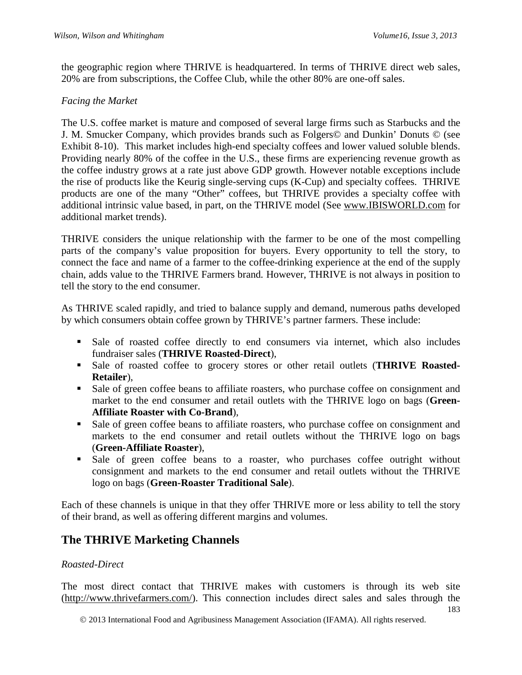the geographic region where THRIVE is headquartered. In terms of THRIVE direct web sales, 20% are from subscriptions, the Coffee Club, while the other 80% are one-off sales.

### *Facing the Market*

The U.S. coffee market is mature and composed of several large firms such as Starbucks and the J. M. Smucker Company, which provides brands such as Folgers© and Dunkin' Donuts © (see Exhibit 8-10). This market includes high-end specialty coffees and lower valued soluble blends. Providing nearly 80% of the coffee in the U.S., these firms are experiencing revenue growth as the coffee industry grows at a rate just above GDP growth. However notable exceptions include the rise of products like the Keurig single-serving cups (K-Cup) and specialty coffees. THRIVE products are one of the many "Other" coffees, but THRIVE provides a specialty coffee with additional intrinsic value based, in part, on the THRIVE model (See [www.IBISWORLD.com](http://www.ibisworld.com/) for additional market trends).

THRIVE considers the unique relationship with the farmer to be one of the most compelling parts of the company's value proposition for buyers. Every opportunity to tell the story, to connect the face and name of a farmer to the coffee-drinking experience at the end of the supply chain, adds value to the THRIVE Farmers brand*.* However, THRIVE is not always in position to tell the story to the end consumer.

As THRIVE scaled rapidly, and tried to balance supply and demand, numerous paths developed by which consumers obtain coffee grown by THRIVE's partner farmers. These include:

- Sale of roasted coffee directly to end consumers via internet, which also includes fundraiser sales (**THRIVE Roasted-Direct**),
- Sale of roasted coffee to grocery stores or other retail outlets (**THRIVE Roasted-Retailer**),
- Sale of green coffee beans to affiliate roasters, who purchase coffee on consignment and market to the end consumer and retail outlets with the THRIVE logo on bags (**Green-Affiliate Roaster with Co-Brand**),
- Sale of green coffee beans to affiliate roasters, who purchase coffee on consignment and markets to the end consumer and retail outlets without the THRIVE logo on bags (**Green-Affiliate Roaster**),
- **Sale of green coffee beans to a roaster, who purchases coffee outright without** consignment and markets to the end consumer and retail outlets without the THRIVE logo on bags (**Green-Roaster Traditional Sale**).

Each of these channels is unique in that they offer THRIVE more or less ability to tell the story of their brand, as well as offering different margins and volumes.

# **The THRIVE Marketing Channels**

### *Roasted-Direct*

The most direct contact that THRIVE makes with customers is through its web site [\(http://www.thrivefarmers.com/\)](http://www.thrivefarmers.com/). This connection includes direct sales and sales through the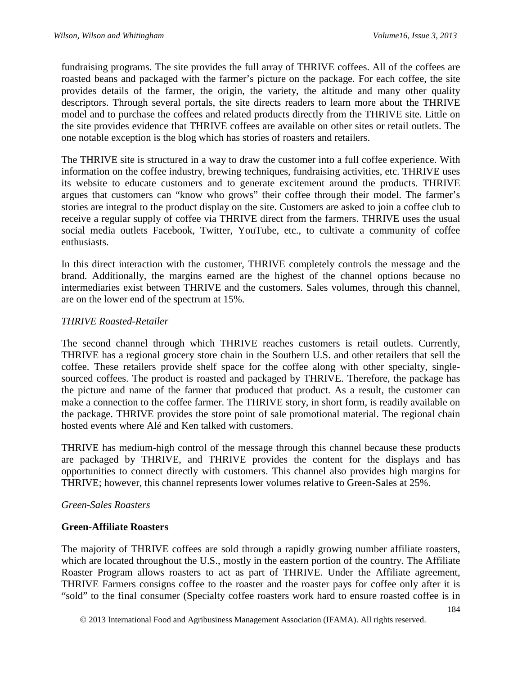fundraising programs. The site provides the full array of THRIVE coffees. All of the coffees are roasted beans and packaged with the farmer's picture on the package. For each coffee, the site provides details of the farmer, the origin, the variety, the altitude and many other quality descriptors. Through several portals, the site directs readers to learn more about the THRIVE model and to purchase the coffees and related products directly from the THRIVE site. Little on the site provides evidence that THRIVE coffees are available on other sites or retail outlets. The one notable exception is the blog which has stories of roasters and retailers.

The THRIVE site is structured in a way to draw the customer into a full coffee experience. With information on the coffee industry, brewing techniques, fundraising activities, etc. THRIVE uses its website to educate customers and to generate excitement around the products. THRIVE argues that customers can "know who grows" their coffee through their model. The farmer's stories are integral to the product display on the site. Customers are asked to join a coffee club to receive a regular supply of coffee via THRIVE direct from the farmers. THRIVE uses the usual social media outlets Facebook, Twitter, YouTube, etc., to cultivate a community of coffee enthusiasts.

In this direct interaction with the customer, THRIVE completely controls the message and the brand. Additionally, the margins earned are the highest of the channel options because no intermediaries exist between THRIVE and the customers. Sales volumes, through this channel, are on the lower end of the spectrum at 15%.

### *THRIVE Roasted-Retailer*

The second channel through which THRIVE reaches customers is retail outlets. Currently, THRIVE has a regional grocery store chain in the Southern U.S. and other retailers that sell the coffee. These retailers provide shelf space for the coffee along with other specialty, singlesourced coffees. The product is roasted and packaged by THRIVE. Therefore, the package has the picture and name of the farmer that produced that product. As a result, the customer can make a connection to the coffee farmer. The THRIVE story, in short form, is readily available on the package. THRIVE provides the store point of sale promotional material. The regional chain hosted events where Alé and Ken talked with customers.

THRIVE has medium-high control of the message through this channel because these products are packaged by THRIVE, and THRIVE provides the content for the displays and has opportunities to connect directly with customers. This channel also provides high margins for THRIVE; however, this channel represents lower volumes relative to Green-Sales at 25%.

### *Green-Sales Roasters*

### **Green-Affiliate Roasters**

The majority of THRIVE coffees are sold through a rapidly growing number affiliate roasters, which are located throughout the U.S., mostly in the eastern portion of the country. The Affiliate Roaster Program allows roasters to act as part of THRIVE. Under the Affiliate agreement, THRIVE Farmers consigns coffee to the roaster and the roaster pays for coffee only after it is "sold" to the final consumer (Specialty coffee roasters work hard to ensure roasted coffee is in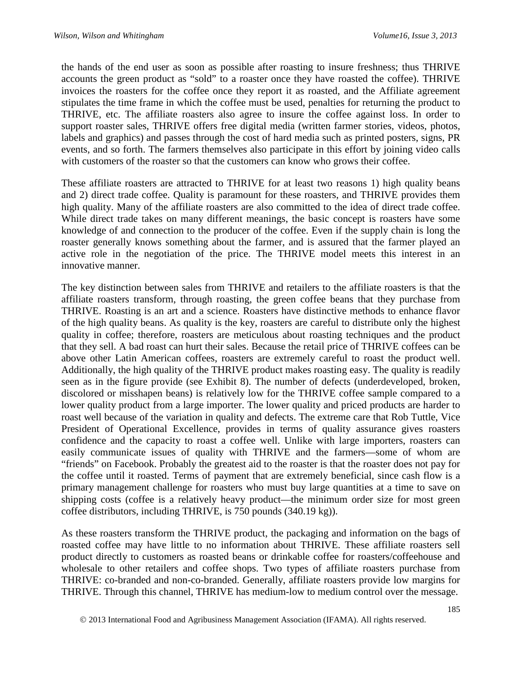the hands of the end user as soon as possible after roasting to insure freshness; thus THRIVE accounts the green product as "sold" to a roaster once they have roasted the coffee). THRIVE invoices the roasters for the coffee once they report it as roasted, and the Affiliate agreement stipulates the time frame in which the coffee must be used, penalties for returning the product to THRIVE, etc. The affiliate roasters also agree to insure the coffee against loss. In order to support roaster sales, THRIVE offers free digital media (written farmer stories, videos, photos, labels and graphics) and passes through the cost of hard media such as printed posters, signs, PR events, and so forth. The farmers themselves also participate in this effort by joining video calls with customers of the roaster so that the customers can know who grows their coffee.

These affiliate roasters are attracted to THRIVE for at least two reasons 1) high quality beans and 2) direct trade coffee. Quality is paramount for these roasters, and THRIVE provides them high quality. Many of the affiliate roasters are also committed to the idea of direct trade coffee. While direct trade takes on many different meanings, the basic concept is roasters have some knowledge of and connection to the producer of the coffee. Even if the supply chain is long the roaster generally knows something about the farmer, and is assured that the farmer played an active role in the negotiation of the price. The THRIVE model meets this interest in an innovative manner.

The key distinction between sales from THRIVE and retailers to the affiliate roasters is that the affiliate roasters transform, through roasting, the green coffee beans that they purchase from THRIVE. Roasting is an art and a science. Roasters have distinctive methods to enhance flavor of the high quality beans. As quality is the key, roasters are careful to distribute only the highest quality in coffee; therefore, roasters are meticulous about roasting techniques and the product that they sell. A bad roast can hurt their sales. Because the retail price of THRIVE coffees can be above other Latin American coffees, roasters are extremely careful to roast the product well. Additionally, the high quality of the THRIVE product makes roasting easy. The quality is readily seen as in the figure provide (see Exhibit 8). The number of defects (underdeveloped, broken, discolored or misshapen beans) is relatively low for the THRIVE coffee sample compared to a lower quality product from a large importer. The lower quality and priced products are harder to roast well because of the variation in quality and defects. The extreme care that Rob Tuttle, Vice President of Operational Excellence, provides in terms of quality assurance gives roasters confidence and the capacity to roast a coffee well. Unlike with large importers, roasters can easily communicate issues of quality with THRIVE and the farmers—some of whom are "friends" on Facebook. Probably the greatest aid to the roaster is that the roaster does not pay for the coffee until it roasted. Terms of payment that are extremely beneficial, since cash flow is a primary management challenge for roasters who must buy large quantities at a time to save on shipping costs (coffee is a relatively heavy product—the minimum order size for most green coffee distributors, including THRIVE, is 750 pounds (340.19 kg)).

As these roasters transform the THRIVE product, the packaging and information on the bags of roasted coffee may have little to no information about THRIVE. These affiliate roasters sell product directly to customers as roasted beans or drinkable coffee for roasters/coffeehouse and wholesale to other retailers and coffee shops. Two types of affiliate roasters purchase from THRIVE: co-branded and non-co-branded. Generally, affiliate roasters provide low margins for THRIVE. Through this channel, THRIVE has medium-low to medium control over the message.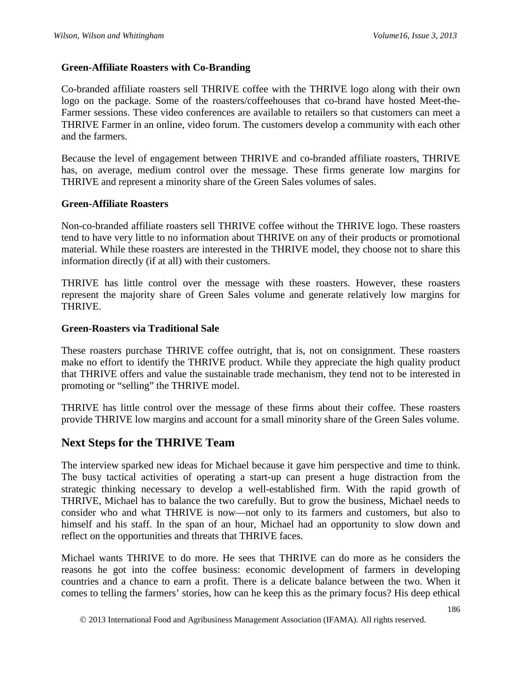### **Green-Affiliate Roasters with Co-Branding**

Co-branded affiliate roasters sell THRIVE coffee with the THRIVE logo along with their own logo on the package. Some of the roasters/coffeehouses that co-brand have hosted Meet-the-Farmer sessions. These video conferences are available to retailers so that customers can meet a THRIVE Farmer in an online, video forum. The customers develop a community with each other and the farmers.

Because the level of engagement between THRIVE and co-branded affiliate roasters, THRIVE has, on average, medium control over the message. These firms generate low margins for THRIVE and represent a minority share of the Green Sales volumes of sales.

### **Green-Affiliate Roasters**

Non-co-branded affiliate roasters sell THRIVE coffee without the THRIVE logo. These roasters tend to have very little to no information about THRIVE on any of their products or promotional material. While these roasters are interested in the THRIVE model, they choose not to share this information directly (if at all) with their customers.

THRIVE has little control over the message with these roasters. However, these roasters represent the majority share of Green Sales volume and generate relatively low margins for THRIVE.

### **Green-Roasters via Traditional Sale**

These roasters purchase THRIVE coffee outright, that is, not on consignment. These roasters make no effort to identify the THRIVE product. While they appreciate the high quality product that THRIVE offers and value the sustainable trade mechanism, they tend not to be interested in promoting or "selling" the THRIVE model.

THRIVE has little control over the message of these firms about their coffee. These roasters provide THRIVE low margins and account for a small minority share of the Green Sales volume.

## **Next Steps for the THRIVE Team**

The interview sparked new ideas for Michael because it gave him perspective and time to think. The busy tactical activities of operating a start-up can present a huge distraction from the strategic thinking necessary to develop a well-established firm. With the rapid growth of THRIVE, Michael has to balance the two carefully. But to grow the business, Michael needs to consider who and what THRIVE is now—not only to its farmers and customers, but also to himself and his staff. In the span of an hour, Michael had an opportunity to slow down and reflect on the opportunities and threats that THRIVE faces.

Michael wants THRIVE to do more. He sees that THRIVE can do more as he considers the reasons he got into the coffee business: economic development of farmers in developing countries and a chance to earn a profit. There is a delicate balance between the two. When it comes to telling the farmers' stories, how can he keep this as the primary focus? His deep ethical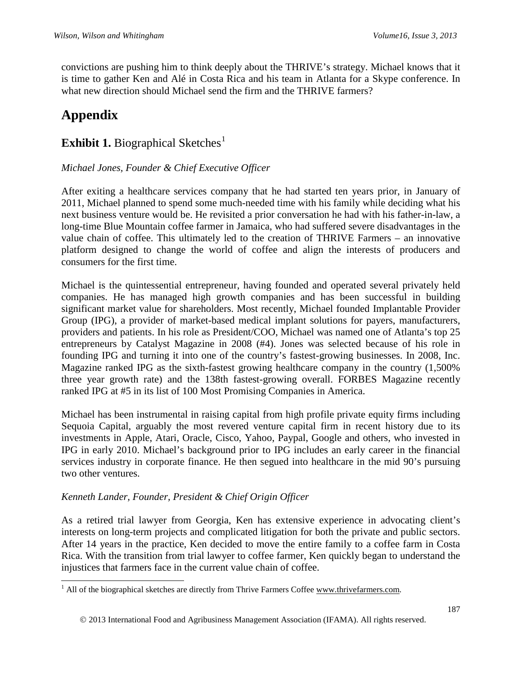convictions are pushing him to think deeply about the THRIVE's strategy. Michael knows that it is time to gather Ken and Alé in Costa Rica and his team in Atlanta for a Skype conference. In what new direction should Michael send the firm and the THRIVE farmers?

# **Appendix**

# **Exhibit [1](#page-10-0).** Biographical Sketches<sup>1</sup>

### *Michael Jones, Founder & Chief Executive Officer*

After exiting a healthcare services company that he had started ten years prior, in January of 2011, Michael planned to spend some much-needed time with his family while deciding what his next business venture would be. He revisited a prior conversation he had with his father-in-law, a long-time Blue Mountain coffee farmer in Jamaica, who had suffered severe disadvantages in the value chain of coffee. This ultimately led to the creation of THRIVE Farmers – an innovative platform designed to change the world of coffee and align the interests of producers and consumers for the first time.

Michael is the quintessential entrepreneur, having founded and operated several privately held companies. He has managed high growth companies and has been successful in building significant market value for shareholders. Most recently, Michael founded Implantable Provider Group (IPG), a provider of market-based medical implant solutions for payers, manufacturers, providers and patients. In his role as President/COO, Michael was named one of Atlanta's top 25 entrepreneurs by Catalyst Magazine in 2008 (#4). Jones was selected because of his role in founding IPG and turning it into one of the country's fastest-growing businesses. In 2008, Inc. Magazine ranked IPG as the sixth-fastest growing healthcare company in the country (1,500% three year growth rate) and the 138th fastest-growing overall. FORBES Magazine recently ranked IPG at #5 in its list of 100 Most Promising Companies in America.

Michael has been instrumental in raising capital from high profile private equity firms including Sequoia Capital, arguably the most revered venture capital firm in recent history due to its investments in Apple, Atari, Oracle, Cisco, Yahoo, Paypal, Google and others, who invested in IPG in early 2010. Michael's background prior to IPG includes an early career in the financial services industry in corporate finance. He then segued into healthcare in the mid 90's pursuing two other ventures.

### *Kenneth Lander, Founder, President & Chief Origin Officer*

As a retired trial lawyer from Georgia, Ken has extensive experience in advocating client's interests on long-term projects and complicated litigation for both the private and public sectors. After 14 years in the practice, Ken decided to move the entire family to a coffee farm in Costa Rica. With the transition from trial lawyer to coffee farmer, Ken quickly began to understand the injustices that farmers face in the current value chain of coffee.

<span id="page-10-0"></span> $1$  All of the biographical sketches are directly from Thrive Farmers Coffee [www.thrivefarmers.com.](http://www.thrivefarmers.com/)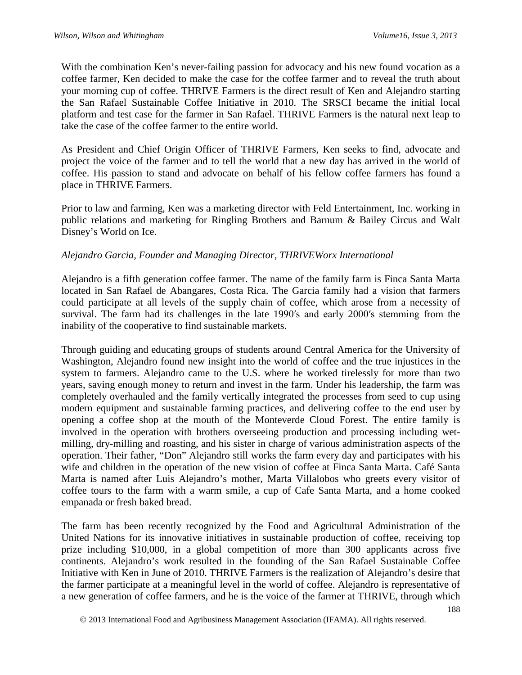With the combination Ken's never-failing passion for advocacy and his new found vocation as a coffee farmer, Ken decided to make the case for the coffee farmer and to reveal the truth about your morning cup of coffee. THRIVE Farmers is the direct result of Ken and Alejandro starting the San Rafael Sustainable Coffee Initiative in 2010. The SRSCI became the initial local platform and test case for the farmer in San Rafael. THRIVE Farmers is the natural next leap to take the case of the coffee farmer to the entire world.

As President and Chief Origin Officer of THRIVE Farmers, Ken seeks to find, advocate and project the voice of the farmer and to tell the world that a new day has arrived in the world of coffee. His passion to stand and advocate on behalf of his fellow coffee farmers has found a place in THRIVE Farmers.

Prior to law and farming, Ken was a marketing director with Feld Entertainment, Inc. working in public relations and marketing for Ringling Brothers and Barnum & Bailey Circus and Walt Disney's World on Ice.

### *Alejandro Garcia, Founder and Managing Director, THRIVEWorx International*

Alejandro is a fifth generation coffee farmer. The name of the family farm is Finca Santa Marta located in San Rafael de Abangares, Costa Rica. The Garcia family had a vision that farmers could participate at all levels of the supply chain of coffee, which arose from a necessity of survival. The farm had its challenges in the late 1990′s and early 2000′s stemming from the inability of the cooperative to find sustainable markets.

Through guiding and educating groups of students around Central America for the University of Washington, Alejandro found new insight into the world of coffee and the true injustices in the system to farmers. Alejandro came to the U.S. where he worked tirelessly for more than two years, saving enough money to return and invest in the farm. Under his leadership, the farm was completely overhauled and the family vertically integrated the processes from seed to cup using modern equipment and sustainable farming practices, and delivering coffee to the end user by opening a coffee shop at the mouth of the Monteverde Cloud Forest. The entire family is involved in the operation with brothers overseeing production and processing including wetmilling, dry-milling and roasting, and his sister in charge of various administration aspects of the operation. Their father, "Don" Alejandro still works the farm every day and participates with his wife and children in the operation of the new vision of coffee at Finca Santa Marta. Café Santa Marta is named after Luis Alejandro's mother, Marta Villalobos who greets every visitor of coffee tours to the farm with a warm smile, a cup of Cafe Santa Marta, and a home cooked empanada or fresh baked bread.

The farm has been recently recognized by the Food and Agricultural Administration of the United Nations for its innovative initiatives in sustainable production of coffee, receiving top prize including \$10,000, in a global competition of more than 300 applicants across five continents. Alejandro's work resulted in the founding of the San Rafael Sustainable Coffee Initiative with Ken in June of 2010. THRIVE Farmers is the realization of Alejandro's desire that the farmer participate at a meaningful level in the world of coffee. Alejandro is representative of a new generation of coffee farmers, and he is the voice of the farmer at THRIVE, through which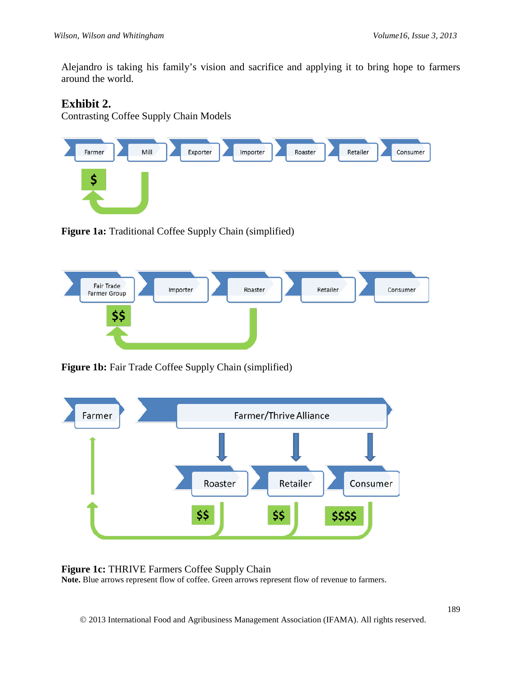Alejandro is taking his family's vision and sacrifice and applying it to bring hope to farmers around the world.

### **Exhibit 2.**

Contrasting Coffee Supply Chain Models



**Figure 1a:** Traditional Coffee Supply Chain (simplified)



Figure 1b: Fair Trade Coffee Supply Chain (simplified)



**Figure 1c:** THRIVE Farmers Coffee Supply Chain

**Note.** Blue arrows represent flow of coffee. Green arrows represent flow of revenue to farmers.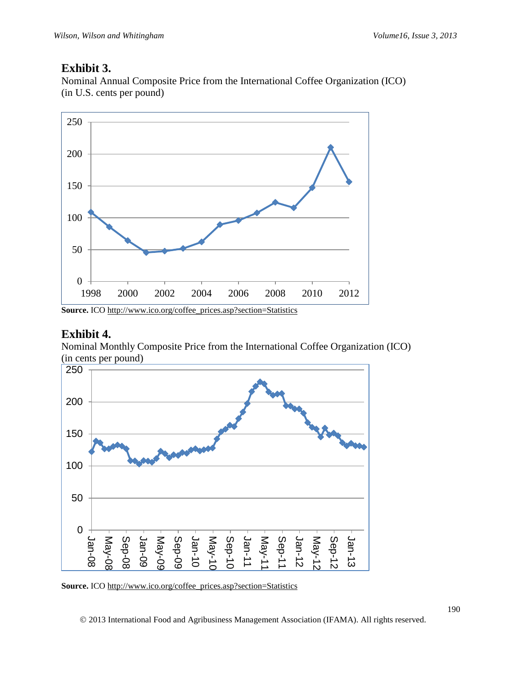## **Exhibit 3.**

Nominal Annual Composite Price from the International Coffee Organization (ICO) (in U.S. cents per pound)



### **Source.** ICO [http://www.ico.org/coffee\\_prices.asp?section=Statistics](http://www.ico.org/coffee_prices.asp?section=Statistics)

# **Exhibit 4.**

Nominal Monthly Composite Price from the International Coffee Organization (ICO) (in cents per pound)



**Source.** ICO [http://www.ico.org/coffee\\_prices.asp?section=Statistics](http://www.ico.org/coffee_prices.asp?section=Statistics)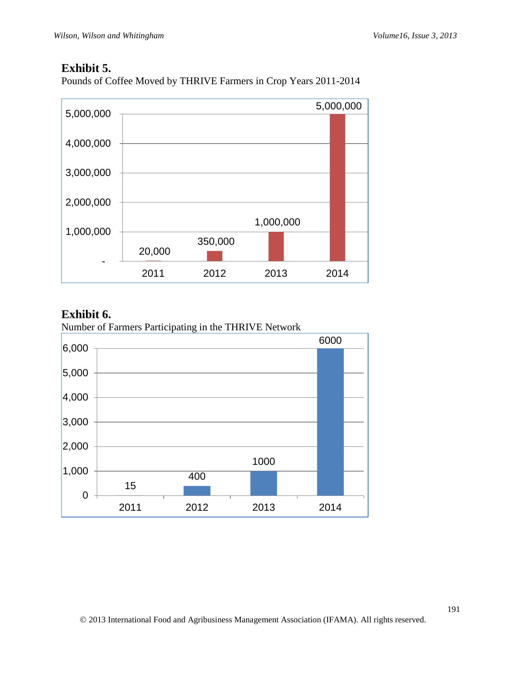# **Exhibit 5.**

Pounds of Coffee Moved by THRIVE Farmers in Crop Years 2011-2014



## **Exhibit 6.**

Number of Farmers Participating in the THRIVE Network



2013 International Food and Agribusiness Management Association (IFAMA). All rights reserved.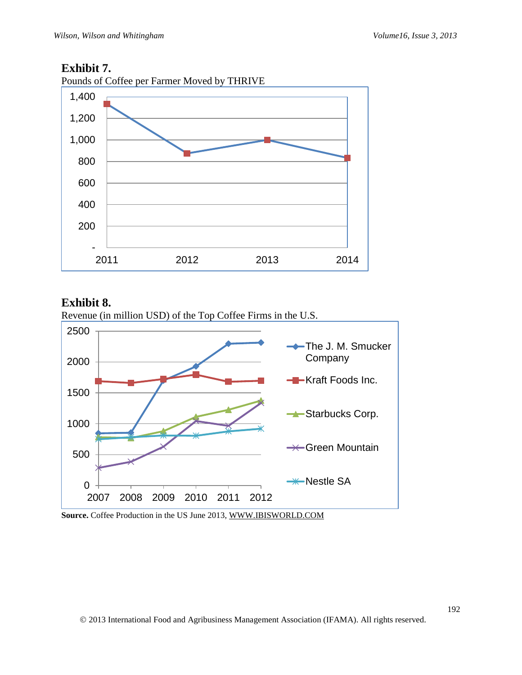# **Exhibit 7.**





# **Exhibit 8.**

Revenue (in million USD) of the Top Coffee Firms in the U.S.



**Source.** Coffee Production in the US June 2013[, WWW.IBISWORLD.COM](http://www.ibisworld.com/)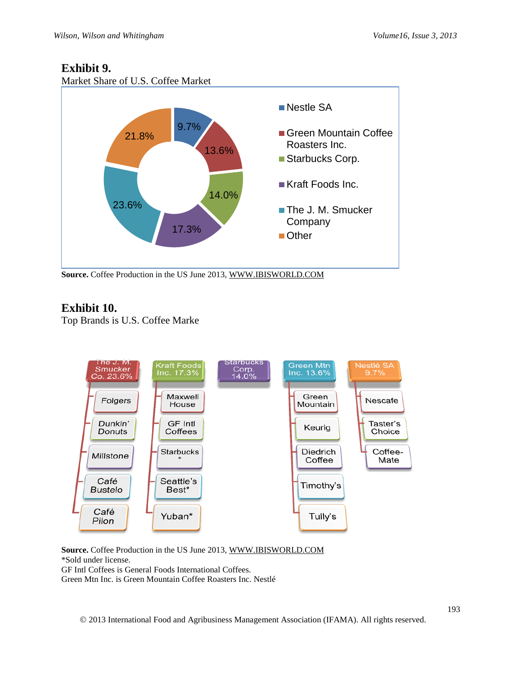# **Exhibit 9.**

Market Share of U.S. Coffee Market



**Source.** Coffee Production in the US June 2013[, WWW.IBISWORLD.COM](http://www.ibisworld.com/)

# **Exhibit 10.**

Top Brands is U.S. Coffee Marke



**Source.** Coffee Production in the US June 2013[, WWW.IBISWORLD.COM](http://www.ibisworld.com/) \*Sold under license. GF Intl Coffees is General Foods International Coffees.

Green Mtn Inc. is Green Mountain Coffee Roasters Inc. Nestlé